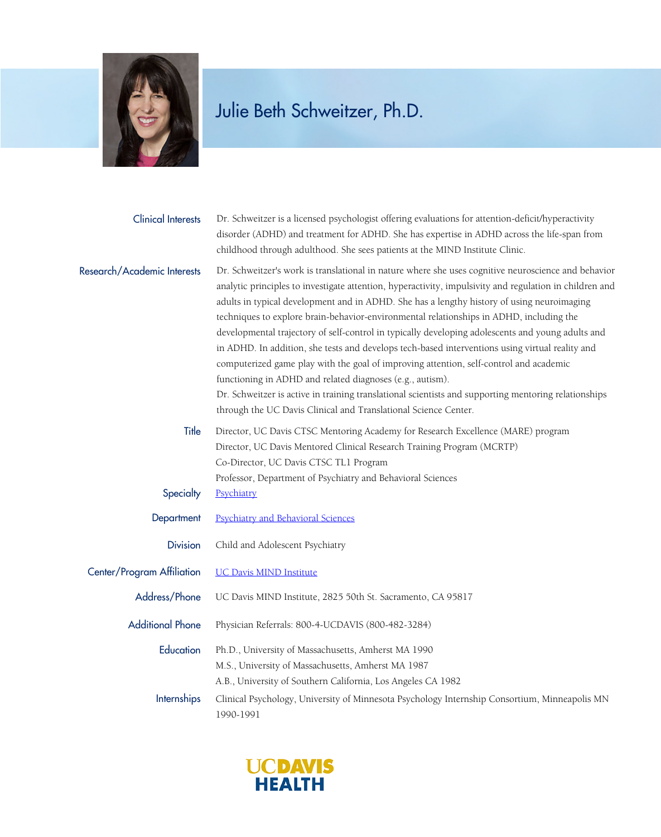

| <b>Clinical Interests</b>   | Dr. Schweitzer is a licensed psychologist offering evaluations for attention-deficit/hyperactivity<br>disorder (ADHD) and treatment for ADHD. She has expertise in ADHD across the life-span from<br>childhood through adulthood. She sees patients at the MIND Institute Clinic.                                                                                                                                                                                                                                                                                                                                                                                                                                                                                                                                                                                                                                                                 |
|-----------------------------|---------------------------------------------------------------------------------------------------------------------------------------------------------------------------------------------------------------------------------------------------------------------------------------------------------------------------------------------------------------------------------------------------------------------------------------------------------------------------------------------------------------------------------------------------------------------------------------------------------------------------------------------------------------------------------------------------------------------------------------------------------------------------------------------------------------------------------------------------------------------------------------------------------------------------------------------------|
| Research/Academic Interests | Dr. Schweitzer's work is translational in nature where she uses cognitive neuroscience and behavior<br>analytic principles to investigate attention, hyperactivity, impulsivity and regulation in children and<br>adults in typical development and in ADHD. She has a lengthy history of using neuroimaging<br>techniques to explore brain-behavior-environmental relationships in ADHD, including the<br>developmental trajectory of self-control in typically developing adolescents and young adults and<br>in ADHD. In addition, she tests and develops tech-based interventions using virtual reality and<br>computerized game play with the goal of improving attention, self-control and academic<br>functioning in ADHD and related diagnoses (e.g., autism).<br>Dr. Schweitzer is active in training translational scientists and supporting mentoring relationships<br>through the UC Davis Clinical and Translational Science Center. |
| Title                       | Director, UC Davis CTSC Mentoring Academy for Research Excellence (MARE) program<br>Director, UC Davis Mentored Clinical Research Training Program (MCRTP)<br>Co-Director, UC Davis CTSC TL1 Program                                                                                                                                                                                                                                                                                                                                                                                                                                                                                                                                                                                                                                                                                                                                              |
| Specialty                   | Professor, Department of Psychiatry and Behavioral Sciences<br>Psychiatry                                                                                                                                                                                                                                                                                                                                                                                                                                                                                                                                                                                                                                                                                                                                                                                                                                                                         |
| Department                  | <b>Psychiatry and Behavioral Sciences</b>                                                                                                                                                                                                                                                                                                                                                                                                                                                                                                                                                                                                                                                                                                                                                                                                                                                                                                         |
| <b>Division</b>             | Child and Adolescent Psychiatry                                                                                                                                                                                                                                                                                                                                                                                                                                                                                                                                                                                                                                                                                                                                                                                                                                                                                                                   |
| Center/Program Affiliation  | <b>UC Davis MIND Institute</b>                                                                                                                                                                                                                                                                                                                                                                                                                                                                                                                                                                                                                                                                                                                                                                                                                                                                                                                    |
| Address/Phone               | UC Davis MIND Institute, 2825 50th St. Sacramento, CA 95817                                                                                                                                                                                                                                                                                                                                                                                                                                                                                                                                                                                                                                                                                                                                                                                                                                                                                       |
| <b>Additional Phone</b>     | Physician Referrals: 800-4-UCDAVIS (800-482-3284)                                                                                                                                                                                                                                                                                                                                                                                                                                                                                                                                                                                                                                                                                                                                                                                                                                                                                                 |
| Education                   | Ph.D., University of Massachusetts, Amherst MA 1990<br>M.S., University of Massachusetts, Amherst MA 1987<br>A.B., University of Southern California, Los Angeles CA 1982                                                                                                                                                                                                                                                                                                                                                                                                                                                                                                                                                                                                                                                                                                                                                                         |
| <b>Internships</b>          | Clinical Psychology, University of Minnesota Psychology Internship Consortium, Minneapolis MN<br>1990-1991                                                                                                                                                                                                                                                                                                                                                                                                                                                                                                                                                                                                                                                                                                                                                                                                                                        |

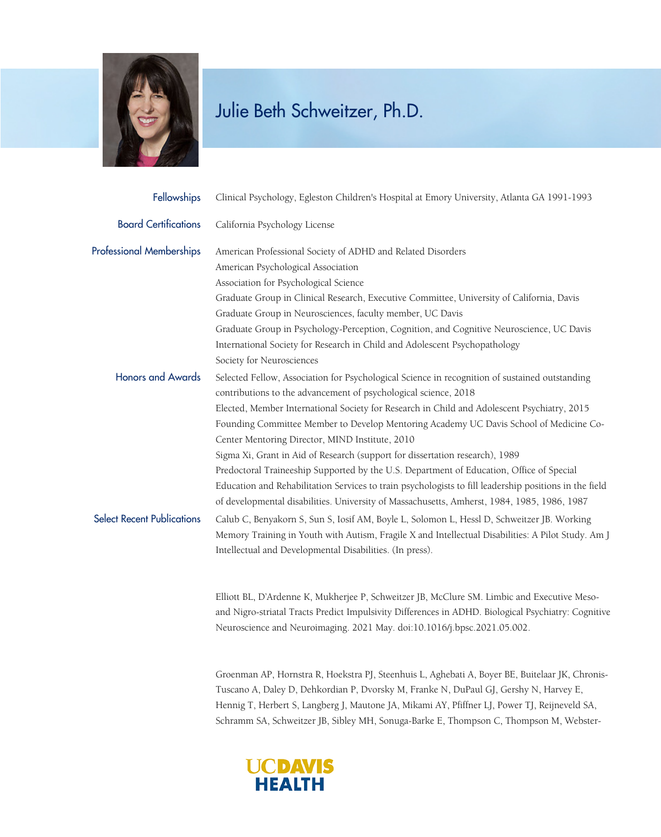

| Fellowships                       | Clinical Psychology, Egleston Children's Hospital at Emory University, Atlanta GA 1991-1993            |
|-----------------------------------|--------------------------------------------------------------------------------------------------------|
| <b>Board Certifications</b>       | California Psychology License                                                                          |
| <b>Professional Memberships</b>   | American Professional Society of ADHD and Related Disorders                                            |
|                                   | American Psychological Association                                                                     |
|                                   | Association for Psychological Science                                                                  |
|                                   | Graduate Group in Clinical Research, Executive Committee, University of California, Davis              |
|                                   | Graduate Group in Neurosciences, faculty member, UC Davis                                              |
|                                   | Graduate Group in Psychology-Perception, Cognition, and Cognitive Neuroscience, UC Davis               |
|                                   | International Society for Research in Child and Adolescent Psychopathology                             |
|                                   | Society for Neurosciences                                                                              |
| <b>Honors and Awards</b>          | Selected Fellow, Association for Psychological Science in recognition of sustained outstanding         |
|                                   | contributions to the advancement of psychological science, 2018                                        |
|                                   | Elected, Member International Society for Research in Child and Adolescent Psychiatry, 2015            |
|                                   | Founding Committee Member to Develop Mentoring Academy UC Davis School of Medicine Co-                 |
|                                   | Center Mentoring Director, MIND Institute, 2010                                                        |
|                                   | Sigma Xi, Grant in Aid of Research (support for dissertation research), 1989                           |
|                                   | Predoctoral Traineeship Supported by the U.S. Department of Education, Office of Special               |
|                                   | Education and Rehabilitation Services to train psychologists to fill leadership positions in the field |
|                                   | of developmental disabilities. University of Massachusetts, Amherst, 1984, 1985, 1986, 1987            |
| <b>Select Recent Publications</b> | Calub C, Benyakorn S, Sun S, Iosif AM, Boyle L, Solomon L, Hessl D, Schweitzer JB. Working             |
|                                   | Memory Training in Youth with Autism, Fragile X and Intellectual Disabilities: A Pilot Study. Am J     |
|                                   | Intellectual and Developmental Disabilities. (In press).                                               |
|                                   |                                                                                                        |
|                                   |                                                                                                        |

Elliott BL, D'Ardenne K, Mukherjee P, Schweitzer JB, McClure SM. Limbic and Executive Mesoand Nigro-striatal Tracts Predict Impulsivity Differences in ADHD. Biological Psychiatry: Cognitive Neuroscience and Neuroimaging. 2021 May. doi:10.1016/j.bpsc.2021.05.002.

Groenman AP, Hornstra R, Hoekstra PJ, Steenhuis L, Aghebati A, Boyer BE, Buitelaar JK, Chronis-Tuscano A, Daley D, Dehkordian P, Dvorsky M, Franke N, DuPaul GJ, Gershy N, Harvey E, Hennig T, Herbert S, Langberg J, Mautone JA, Mikami AY, Pfiffner LJ, Power TJ, Reijneveld SA, Schramm SA, Schweitzer JB, Sibley MH, Sonuga-Barke E, Thompson C, Thompson M, Webster-

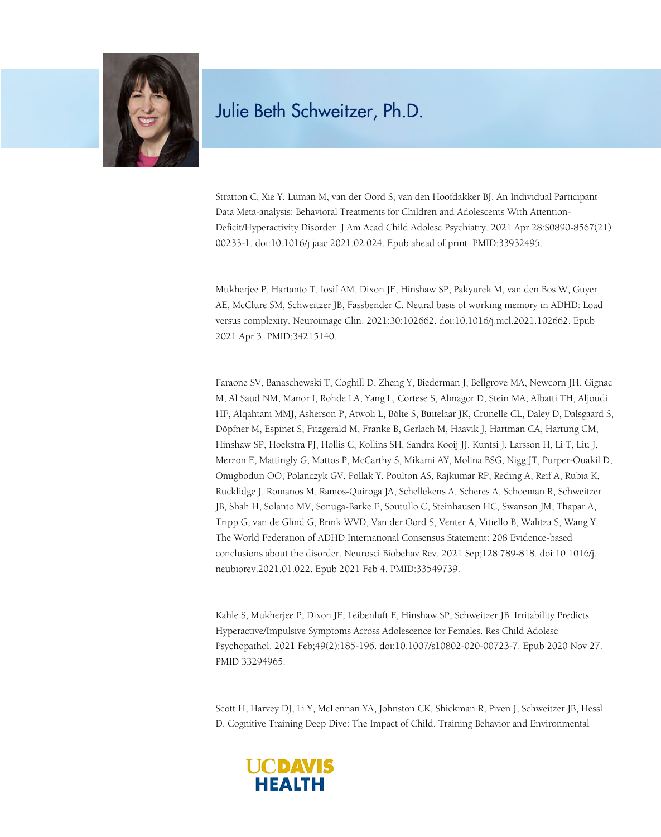

Stratton C, Xie Y, Luman M, van der Oord S, van den Hoofdakker BJ. An Individual Participant Data Meta-analysis: Behavioral Treatments for Children and Adolescents With Attention-Deficit/Hyperactivity Disorder. J Am Acad Child Adolesc Psychiatry. 2021 Apr 28:S0890-8567(21) 00233-1. doi:10.1016/j.jaac.2021.02.024. Epub ahead of print. PMID:33932495.

Mukherjee P, Hartanto T, Iosif AM, Dixon JF, Hinshaw SP, Pakyurek M, van den Bos W, Guyer AE, McClure SM, Schweitzer JB, Fassbender C. Neural basis of working memory in ADHD: Load versus complexity. Neuroimage Clin. 2021;30:102662. doi:10.1016/j.nicl.2021.102662. Epub 2021 Apr 3. PMID:34215140.

Faraone SV, Banaschewski T, Coghill D, Zheng Y, Biederman J, Bellgrove MA, Newcorn JH, Gignac M, Al Saud NM, Manor I, Rohde LA, Yang L, Cortese S, Almagor D, Stein MA, Albatti TH, Aljoudi HF, Alqahtani MMJ, Asherson P, Atwoli L, Bölte S, Buitelaar JK, Crunelle CL, Daley D, Dalsgaard S, Döpfner M, Espinet S, Fitzgerald M, Franke B, Gerlach M, Haavik J, Hartman CA, Hartung CM, Hinshaw SP, Hoekstra PJ, Hollis C, Kollins SH, Sandra Kooij JJ, Kuntsi J, Larsson H, Li T, Liu J, Merzon E, Mattingly G, Mattos P, McCarthy S, Mikami AY, Molina BSG, Nigg JT, Purper-Ouakil D, Omigbodun OO, Polanczyk GV, Pollak Y, Poulton AS, Rajkumar RP, Reding A, Reif A, Rubia K, Rucklidge J, Romanos M, Ramos-Quiroga JA, Schellekens A, Scheres A, Schoeman R, Schweitzer JB, Shah H, Solanto MV, Sonuga-Barke E, Soutullo C, Steinhausen HC, Swanson JM, Thapar A, Tripp G, van de Glind G, Brink WVD, Van der Oord S, Venter A, Vitiello B, Walitza S, Wang Y. The World Federation of ADHD International Consensus Statement: 208 Evidence-based conclusions about the disorder. Neurosci Biobehav Rev. 2021 Sep;128:789-818. doi:10.1016/j. neubiorev.2021.01.022. Epub 2021 Feb 4. PMID:33549739.

Kahle S, Mukherjee P, Dixon JF, Leibenluft E, Hinshaw SP, Schweitzer JB. Irritability Predicts Hyperactive/Impulsive Symptoms Across Adolescence for Females. Res Child Adolesc Psychopathol. 2021 Feb;49(2):185-196. doi:10.1007/s10802-020-00723-7. Epub 2020 Nov 27. PMID 33294965.

Scott H, Harvey DJ, Li Y, McLennan YA, Johnston CK, Shickman R, Piven J, Schweitzer JB, Hessl D. Cognitive Training Deep Dive: The Impact of Child, Training Behavior and Environmental